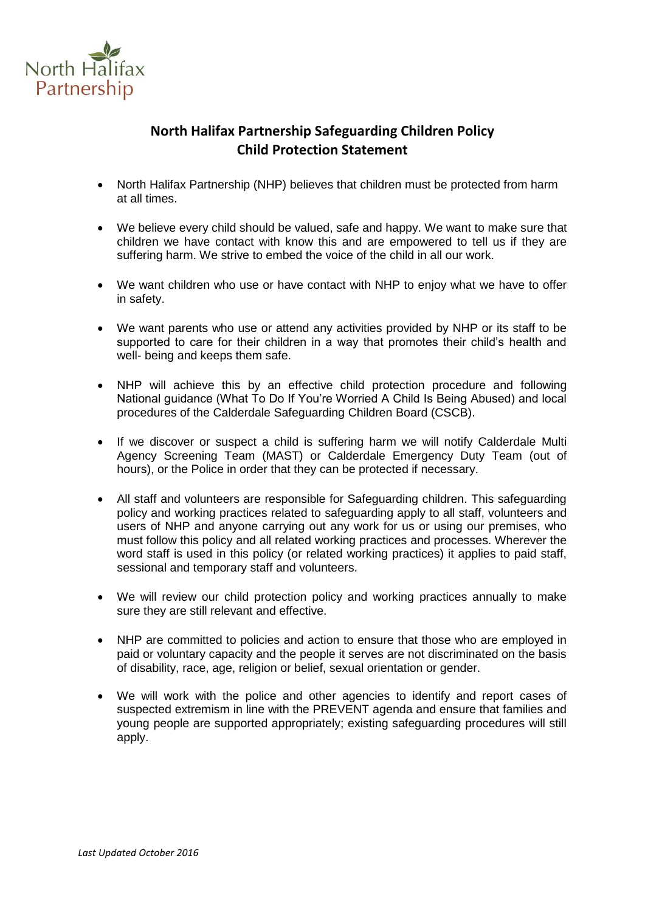

# **North Halifax Partnership Safeguarding Children Policy Child Protection Statement**

- North Halifax Partnership (NHP) believes that children must be protected from harm at all times.
- We believe every child should be valued, safe and happy. We want to make sure that children we have contact with know this and are empowered to tell us if they are suffering harm. We strive to embed the voice of the child in all our work.
- We want children who use or have contact with NHP to enjoy what we have to offer in safety.
- We want parents who use or attend any activities provided by NHP or its staff to be supported to care for their children in a way that promotes their child's health and well- being and keeps them safe.
- NHP will achieve this by an effective child protection procedure and following National guidance (What To Do If You're Worried A Child Is Being Abused) and local procedures of the Calderdale Safeguarding Children Board (CSCB).
- If we discover or suspect a child is suffering harm we will notify Calderdale Multi Agency Screening Team (MAST) or Calderdale Emergency Duty Team (out of hours), or the Police in order that they can be protected if necessary.
- All staff and volunteers are responsible for Safeguarding children. This safeguarding policy and working practices related to safeguarding apply to all staff, volunteers and users of NHP and anyone carrying out any work for us or using our premises, who must follow this policy and all related working practices and processes. Wherever the word staff is used in this policy (or related working practices) it applies to paid staff, sessional and temporary staff and volunteers.
- We will review our child protection policy and working practices annually to make sure they are still relevant and effective.
- NHP are committed to policies and action to ensure that those who are employed in paid or voluntary capacity and the people it serves are not discriminated on the basis of disability, race, age, religion or belief, sexual orientation or gender.
- We will work with the police and other agencies to identify and report cases of suspected extremism in line with the PREVENT agenda and ensure that families and young people are supported appropriately; existing safeguarding procedures will still apply.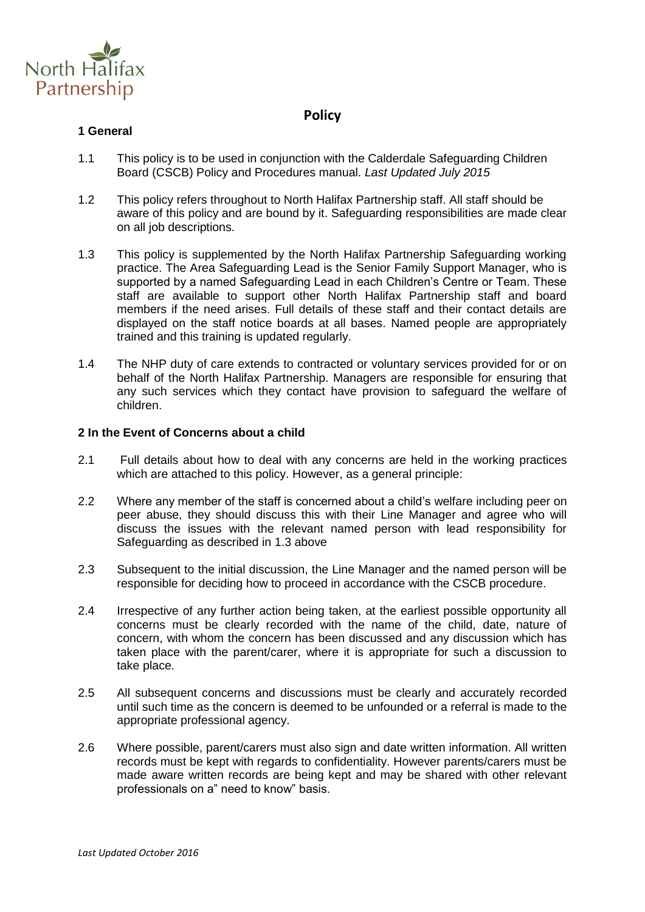

### **Policy**

#### **1 General**

- 1.1 This policy is to be used in conjunction with the Calderdale Safeguarding Children Board (CSCB) Policy and Procedures manual. *Last Updated July 2015*
- 1.2 This policy refers throughout to North Halifax Partnership staff. All staff should be aware of this policy and are bound by it. Safeguarding responsibilities are made clear on all job descriptions.
- 1.3 This policy is supplemented by the North Halifax Partnership Safeguarding working practice. The Area Safeguarding Lead is the Senior Family Support Manager, who is supported by a named Safeguarding Lead in each Children's Centre or Team. These staff are available to support other North Halifax Partnership staff and board members if the need arises. Full details of these staff and their contact details are displayed on the staff notice boards at all bases. Named people are appropriately trained and this training is updated regularly.
- 1.4 The NHP duty of care extends to contracted or voluntary services provided for or on behalf of the North Halifax Partnership. Managers are responsible for ensuring that any such services which they contact have provision to safeguard the welfare of children.

#### **2 In the Event of Concerns about a child**

- 2.1 Full details about how to deal with any concerns are held in the working practices which are attached to this policy. However, as a general principle:
- 2.2 Where any member of the staff is concerned about a child's welfare including peer on peer abuse, they should discuss this with their Line Manager and agree who will discuss the issues with the relevant named person with lead responsibility for Safeguarding as described in 1.3 above
- 2.3 Subsequent to the initial discussion, the Line Manager and the named person will be responsible for deciding how to proceed in accordance with the CSCB procedure.
- 2.4 Irrespective of any further action being taken, at the earliest possible opportunity all concerns must be clearly recorded with the name of the child, date, nature of concern, with whom the concern has been discussed and any discussion which has taken place with the parent/carer, where it is appropriate for such a discussion to take place.
- 2.5 All subsequent concerns and discussions must be clearly and accurately recorded until such time as the concern is deemed to be unfounded or a referral is made to the appropriate professional agency.
- 2.6 Where possible, parent/carers must also sign and date written information. All written records must be kept with regards to confidentiality. However parents/carers must be made aware written records are being kept and may be shared with other relevant professionals on a" need to know" basis.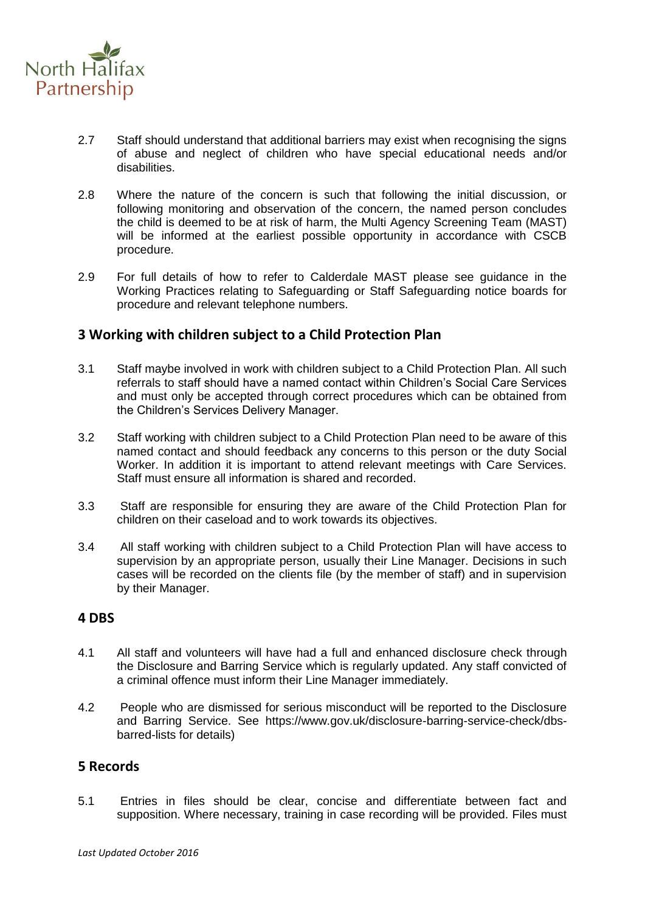

- 2.7 Staff should understand that additional barriers may exist when recognising the signs of abuse and neglect of children who have special educational needs and/or disabilities.
- 2.8 Where the nature of the concern is such that following the initial discussion, or following monitoring and observation of the concern, the named person concludes the child is deemed to be at risk of harm, the Multi Agency Screening Team (MAST) will be informed at the earliest possible opportunity in accordance with CSCB procedure.
- 2.9 For full details of how to refer to Calderdale MAST please see guidance in the Working Practices relating to Safeguarding or Staff Safeguarding notice boards for procedure and relevant telephone numbers.

### **3 Working with children subject to a Child Protection Plan**

- 3.1 Staff maybe involved in work with children subject to a Child Protection Plan. All such referrals to staff should have a named contact within Children's Social Care Services and must only be accepted through correct procedures which can be obtained from the Children's Services Delivery Manager.
- 3.2 Staff working with children subject to a Child Protection Plan need to be aware of this named contact and should feedback any concerns to this person or the duty Social Worker. In addition it is important to attend relevant meetings with Care Services. Staff must ensure all information is shared and recorded.
- 3.3 Staff are responsible for ensuring they are aware of the Child Protection Plan for children on their caseload and to work towards its objectives.
- 3.4 All staff working with children subject to a Child Protection Plan will have access to supervision by an appropriate person, usually their Line Manager. Decisions in such cases will be recorded on the clients file (by the member of staff) and in supervision by their Manager.

#### **4 DBS**

- 4.1 All staff and volunteers will have had a full and enhanced disclosure check through the Disclosure and Barring Service which is regularly updated. Any staff convicted of a criminal offence must inform their Line Manager immediately.
- 4.2 People who are dismissed for serious misconduct will be reported to the Disclosure and Barring Service. See https://www.gov.uk/disclosure-barring-service-check/dbsbarred-lists for details)

## **5 Records**

5.1 Entries in files should be clear, concise and differentiate between fact and supposition. Where necessary, training in case recording will be provided. Files must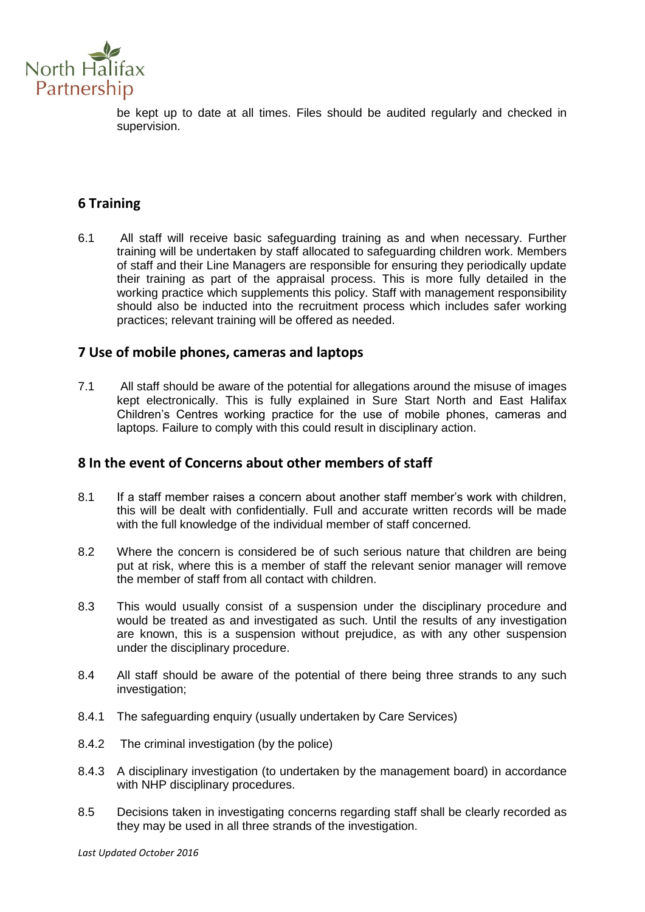

be kept up to date at all times. Files should be audited regularly and checked in supervision.

## **6 Training**

6.1 All staff will receive basic safeguarding training as and when necessary. Further training will be undertaken by staff allocated to safeguarding children work. Members of staff and their Line Managers are responsible for ensuring they periodically update their training as part of the appraisal process. This is more fully detailed in the working practice which supplements this policy. Staff with management responsibility should also be inducted into the recruitment process which includes safer working practices; relevant training will be offered as needed.

## **7 Use of mobile phones, cameras and laptops**

7.1 All staff should be aware of the potential for allegations around the misuse of images kept electronically. This is fully explained in Sure Start North and East Halifax Children's Centres working practice for the use of mobile phones, cameras and laptops. Failure to comply with this could result in disciplinary action.

### **8 In the event of Concerns about other members of staff**

- 8.1 If a staff member raises a concern about another staff member's work with children, this will be dealt with confidentially. Full and accurate written records will be made with the full knowledge of the individual member of staff concerned.
- 8.2 Where the concern is considered be of such serious nature that children are being put at risk, where this is a member of staff the relevant senior manager will remove the member of staff from all contact with children.
- 8.3 This would usually consist of a suspension under the disciplinary procedure and would be treated as and investigated as such. Until the results of any investigation are known, this is a suspension without prejudice, as with any other suspension under the disciplinary procedure.
- 8.4 All staff should be aware of the potential of there being three strands to any such investigation;
- 8.4.1 The safeguarding enquiry (usually undertaken by Care Services)
- 8.4.2 The criminal investigation (by the police)
- 8.4.3 A disciplinary investigation (to undertaken by the management board) in accordance with NHP disciplinary procedures.
- 8.5 Decisions taken in investigating concerns regarding staff shall be clearly recorded as they may be used in all three strands of the investigation.